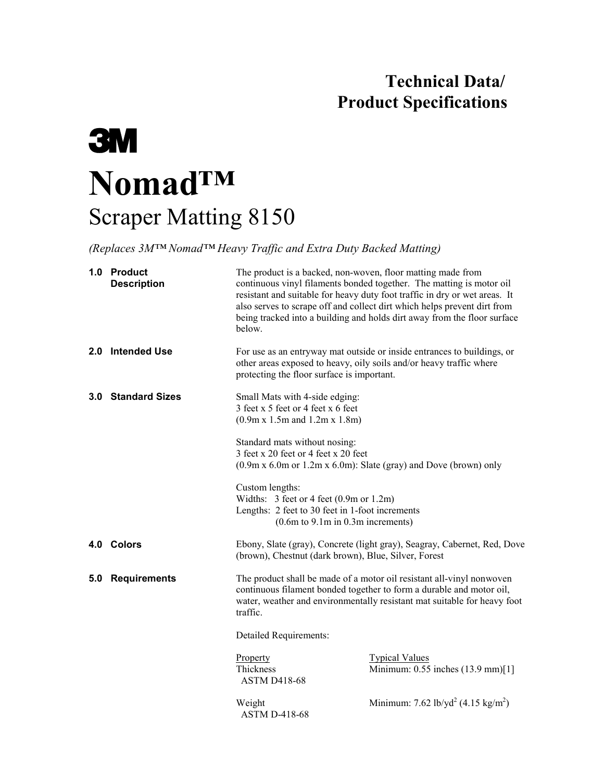## **Technical Data/ Product Specifications**

# **3M Nomad™** Scraper Matting 8150

*(Replaces 3M™ Nomad™ Heavy Traffic and Extra Duty Backed Matting)*

|     | 1.0 Product<br><b>Description</b> | The product is a backed, non-woven, floor matting made from<br>continuous vinyl filaments bonded together. The matting is motor oil<br>resistant and suitable for heavy duty foot traffic in dry or wet areas. It<br>also serves to scrape off and collect dirt which helps prevent dirt from<br>being tracked into a building and holds dirt away from the floor surface<br>below.                                                   |                                                                                                                                                |  |
|-----|-----------------------------------|---------------------------------------------------------------------------------------------------------------------------------------------------------------------------------------------------------------------------------------------------------------------------------------------------------------------------------------------------------------------------------------------------------------------------------------|------------------------------------------------------------------------------------------------------------------------------------------------|--|
| 2.0 | <b>Intended Use</b>               | protecting the floor surface is important.                                                                                                                                                                                                                                                                                                                                                                                            | For use as an entryway mat outside or inside entrances to buildings, or<br>other areas exposed to heavy, oily soils and/or heavy traffic where |  |
|     | 3.0 Standard Sizes                | Small Mats with 4-side edging:<br>3 feet x 5 feet or 4 feet x 6 feet<br>(0.9m x 1.5m and 1.2m x 1.8m)<br>Standard mats without nosing:<br>3 feet x 20 feet or 4 feet x 20 feet<br>$(0.9m \times 6.0m \text{ or } 1.2m \times 6.0m)$ : Slate (gray) and Dove (brown) only<br>Custom lengths:<br>Widths: 3 feet or 4 feet (0.9m or 1.2m)<br>Lengths: 2 feet to 30 feet in 1-foot increments<br>$(0.6m)$ to $9.1m$ in $0.3m$ increments) |                                                                                                                                                |  |
|     |                                   |                                                                                                                                                                                                                                                                                                                                                                                                                                       |                                                                                                                                                |  |
|     |                                   |                                                                                                                                                                                                                                                                                                                                                                                                                                       |                                                                                                                                                |  |
|     | 4.0 Colors                        | Ebony, Slate (gray), Concrete (light gray), Seagray, Cabernet, Red, Dove<br>(brown), Chestnut (dark brown), Blue, Silver, Forest                                                                                                                                                                                                                                                                                                      |                                                                                                                                                |  |
| 5.0 | <b>Requirements</b>               | The product shall be made of a motor oil resistant all-vinyl nonwoven<br>continuous filament bonded together to form a durable and motor oil,<br>water, weather and environmentally resistant mat suitable for heavy foot<br>traffic.                                                                                                                                                                                                 |                                                                                                                                                |  |
|     |                                   | <b>Detailed Requirements:</b>                                                                                                                                                                                                                                                                                                                                                                                                         |                                                                                                                                                |  |
|     |                                   | Property<br>Thickness<br><b>ASTM D418-68</b>                                                                                                                                                                                                                                                                                                                                                                                          | <b>Typical Values</b><br>Minimum: 0.55 inches (13.9 mm)[1]                                                                                     |  |
|     |                                   | Weight                                                                                                                                                                                                                                                                                                                                                                                                                                | Minimum: 7.62 lb/yd <sup>2</sup> (4.15 kg/m <sup>2</sup> )                                                                                     |  |

ASTM D-418-68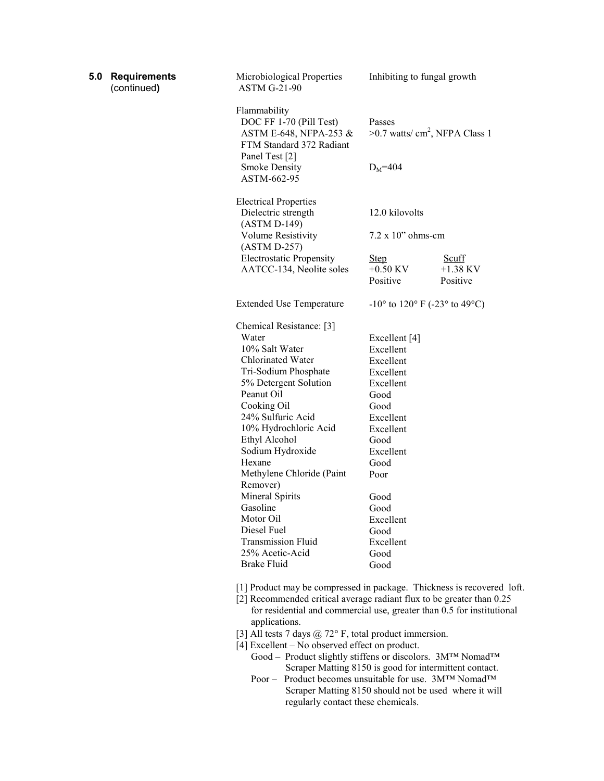| 5.0 | <b>Requirements</b><br>(continued) | Microbiological Properties<br><b>ASTM G-21-90</b>                                                                                               | Inhibiting to fungal growth                                         |                                        |
|-----|------------------------------------|-------------------------------------------------------------------------------------------------------------------------------------------------|---------------------------------------------------------------------|----------------------------------------|
|     |                                    | Flammability<br>DOC FF 1-70 (Pill Test)<br>ASTM E-648, NFPA-253 &<br>FTM Standard 372 Radiant<br>Panel Test [2]                                 | Passes<br>$>0.7$ watts/ cm <sup>2</sup> , NFPA Class 1              |                                        |
|     |                                    | <b>Smoke Density</b><br>ASTM-662-95                                                                                                             | $D_M = 404$                                                         |                                        |
|     |                                    | <b>Electrical Properties</b><br>Dielectric strength                                                                                             | 12.0 kilovolts                                                      |                                        |
|     |                                    | (ASTM D-149)<br>Volume Resistivity<br>$(ASTM D-257)$                                                                                            | $7.2 \times 10$ " ohms-cm                                           |                                        |
|     |                                    | <b>Electrostatic Propensity</b><br>AATCC-134, Neolite soles                                                                                     | <b>Step</b><br>$+0.50$ KV<br>Positive                               | <b>Scuff</b><br>$+1.38$ KV<br>Positive |
|     |                                    | <b>Extended Use Temperature</b>                                                                                                                 | $-10^{\circ}$ to $120^{\circ}$ F ( $-23^{\circ}$ to $49^{\circ}$ C) |                                        |
|     |                                    | Chemical Resistance: [3]                                                                                                                        |                                                                     |                                        |
|     |                                    | Water                                                                                                                                           | Excellent [4]                                                       |                                        |
|     |                                    | 10% Salt Water                                                                                                                                  | Excellent                                                           |                                        |
|     |                                    | Chlorinated Water                                                                                                                               | Excellent                                                           |                                        |
|     |                                    | Tri-Sodium Phosphate                                                                                                                            | Excellent                                                           |                                        |
|     |                                    | 5% Detergent Solution                                                                                                                           | Excellent                                                           |                                        |
|     |                                    | Peanut Oil                                                                                                                                      | Good                                                                |                                        |
|     |                                    | Cooking Oil                                                                                                                                     | Good                                                                |                                        |
|     |                                    | 24% Sulfuric Acid                                                                                                                               | Excellent                                                           |                                        |
|     |                                    | 10% Hydrochloric Acid                                                                                                                           | Excellent                                                           |                                        |
|     |                                    | Ethyl Alcohol                                                                                                                                   | Good                                                                |                                        |
|     |                                    | Sodium Hydroxide                                                                                                                                | Excellent                                                           |                                        |
|     |                                    | Hexane                                                                                                                                          | Good                                                                |                                        |
|     |                                    | Methylene Chloride (Paint<br>Remover)                                                                                                           | Poor                                                                |                                        |
|     |                                    | Mineral Spirits                                                                                                                                 | Good                                                                |                                        |
|     |                                    | Gasoline                                                                                                                                        | Good                                                                |                                        |
|     |                                    | Motor Oil                                                                                                                                       | Excellent                                                           |                                        |
|     |                                    | Diesel Fuel                                                                                                                                     | Good                                                                |                                        |
|     |                                    | Transmission Fluid                                                                                                                              | Excellent                                                           |                                        |
|     |                                    | 25% Acetic-Acid                                                                                                                                 | Good                                                                |                                        |
|     |                                    | <b>Brake Fluid</b>                                                                                                                              | Good                                                                |                                        |
|     |                                    | [1] Product may be compressed in package. Thickness is recovered loft.<br>[2] Recommended critical average radiant flux to be greater than 0.25 |                                                                     |                                        |

- for residential and commercial use, greater than 0.5 for institutional applications.
- [3] All tests 7 days  $@ 72°$  F, total product immersion.
- [4] Excellent No observed effect on product.
	- Good Product slightly stiffens or discolors. 3M™ Nomad™ Scraper Matting 8150 is good for intermittent contact.
	- Poor Product becomes unsuitable for use. 3M™ Nomad™ Scraper Matting 8150 should not be used where it will regularly contact these chemicals.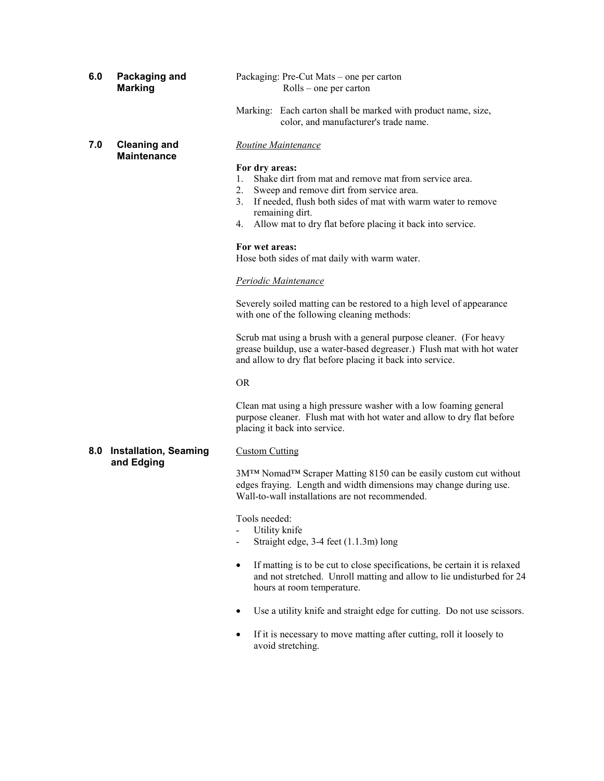| 6.0 | Packaging and<br><b>Marking</b>           | Packaging: Pre-Cut Mats – one per carton<br>$Rolls$ – one per carton                                                                                                                                                                                                                                                                                                                                                                                                                                                                                        |  |
|-----|-------------------------------------------|-------------------------------------------------------------------------------------------------------------------------------------------------------------------------------------------------------------------------------------------------------------------------------------------------------------------------------------------------------------------------------------------------------------------------------------------------------------------------------------------------------------------------------------------------------------|--|
|     |                                           | Marking: Each carton shall be marked with product name, size,<br>color, and manufacturer's trade name.                                                                                                                                                                                                                                                                                                                                                                                                                                                      |  |
| 7.0 | <b>Cleaning and</b><br><b>Maintenance</b> | <b>Routine Maintenance</b><br>For dry areas:<br>Shake dirt from mat and remove mat from service area.<br>$1_{-}$<br>$2_{\cdot}$<br>Sweep and remove dirt from service area.<br>If needed, flush both sides of mat with warm water to remove<br>3.<br>remaining dirt.<br>Allow mat to dry flat before placing it back into service.<br>4.<br>For wet areas:<br>Hose both sides of mat daily with warm water.<br>Periodic Maintenance<br>Severely soiled matting can be restored to a high level of appearance<br>with one of the following cleaning methods: |  |
|     |                                           | Scrub mat using a brush with a general purpose cleaner. (For heavy<br>grease buildup, use a water-based degreaser.) Flush mat with hot water<br>and allow to dry flat before placing it back into service.<br><b>OR</b>                                                                                                                                                                                                                                                                                                                                     |  |
|     |                                           | Clean mat using a high pressure washer with a low foaming general<br>purpose cleaner. Flush mat with hot water and allow to dry flat before<br>placing it back into service.                                                                                                                                                                                                                                                                                                                                                                                |  |
| 8.0 | <b>Installation, Seaming</b>              | <b>Custom Cutting</b>                                                                                                                                                                                                                                                                                                                                                                                                                                                                                                                                       |  |
|     | and Edging                                | 3M™ Nomad™ Scraper Matting 8150 can be easily custom cut without<br>edges fraying. Length and width dimensions may change during use.<br>Wall-to-wall installations are not recommended.                                                                                                                                                                                                                                                                                                                                                                    |  |
|     |                                           | Tools needed:<br>Utility knife<br>Straight edge, 3-4 feet (1.1.3m) long                                                                                                                                                                                                                                                                                                                                                                                                                                                                                     |  |
|     |                                           | If matting is to be cut to close specifications, be certain it is relaxed<br>$\bullet$<br>and not stretched. Unroll matting and allow to lie undisturbed for 24<br>hours at room temperature.                                                                                                                                                                                                                                                                                                                                                               |  |
|     |                                           |                                                                                                                                                                                                                                                                                                                                                                                                                                                                                                                                                             |  |

- Use a utility knife and straight edge for cutting. Do not use scissors.
- If it is necessary to move matting after cutting, roll it loosely to avoid stretching.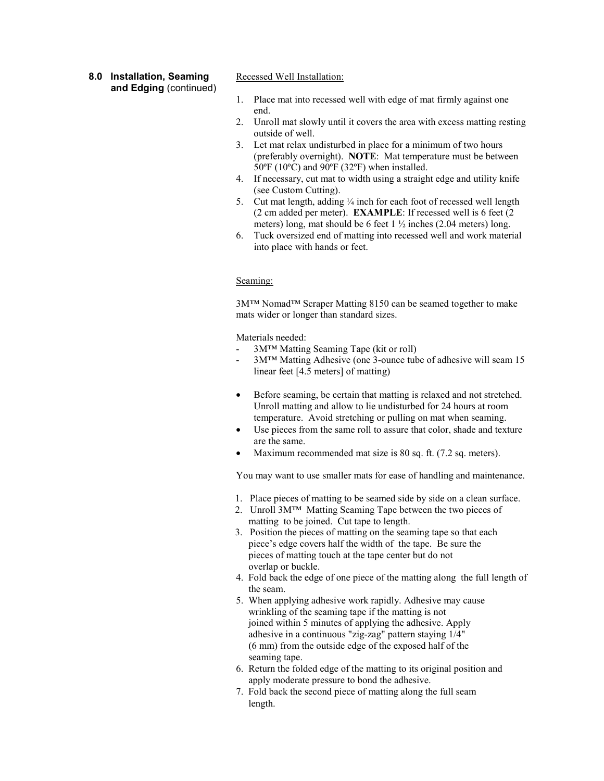#### **8.0 Installation, Seaming and Edging** (continued)

Recessed Well Installation:

- 1. Place mat into recessed well with edge of mat firmly against one end.
- 2. Unroll mat slowly until it covers the area with excess matting resting outside of well.
- 3. Let mat relax undisturbed in place for a minimum of two hours (preferably overnight). **NOTE**: Mat temperature must be between 50ºF (10ºC) and 90ºF (32ºF) when installed.
- 4. If necessary, cut mat to width using a straight edge and utility knife (see Custom Cutting).
- 5. Cut mat length, adding  $\frac{1}{4}$  inch for each foot of recessed well length (2 cm added per meter). **EXAMPLE**: If recessed well is 6 feet (2 meters) long, mat should be 6 feet  $1\frac{1}{2}$  inches (2.04 meters) long.
- 6. Tuck oversized end of matting into recessed well and work material into place with hands or feet.

#### Seaming:

3M™ Nomad™ Scraper Matting 8150 can be seamed together to make mats wider or longer than standard sizes.

Materials needed:

- 3M™ Matting Seaming Tape (kit or roll)
- 3M™ Matting Adhesive (one 3-ounce tube of adhesive will seam 15 linear feet [4.5 meters] of matting)
- $\bullet$  Before seaming, be certain that matting is relaxed and not stretched. Unroll matting and allow to lie undisturbed for 24 hours at room temperature. Avoid stretching or pulling on mat when seaming.
- Use pieces from the same roll to assure that color, shade and texture are the same.
- -Maximum recommended mat size is 80 sq. ft. (7.2 sq. meters).

You may want to use smaller mats for ease of handling and maintenance.

- 1. Place pieces of matting to be seamed side by side on a clean surface.
- 2. Unroll 3M™ Matting Seaming Tape between the two pieces of matting to be joined. Cut tape to length.
- 3. Position the pieces of matting on the seaming tape so that each piece's edge covers half the width of the tape. Be sure the pieces of matting touch at the tape center but do not overlap or buckle.
- 4. Fold back the edge of one piece of the matting along the full length of the seam.
- 5. When applying adhesive work rapidly. Adhesive may cause wrinkling of the seaming tape if the matting is not joined within 5 minutes of applying the adhesive. Apply adhesive in a continuous "zig-zag" pattern staying 1/4" (6 mm) from the outside edge of the exposed half of the seaming tape.
- 6. Return the folded edge of the matting to its original position and apply moderate pressure to bond the adhesive.
- 7. Fold back the second piece of matting along the full seam length.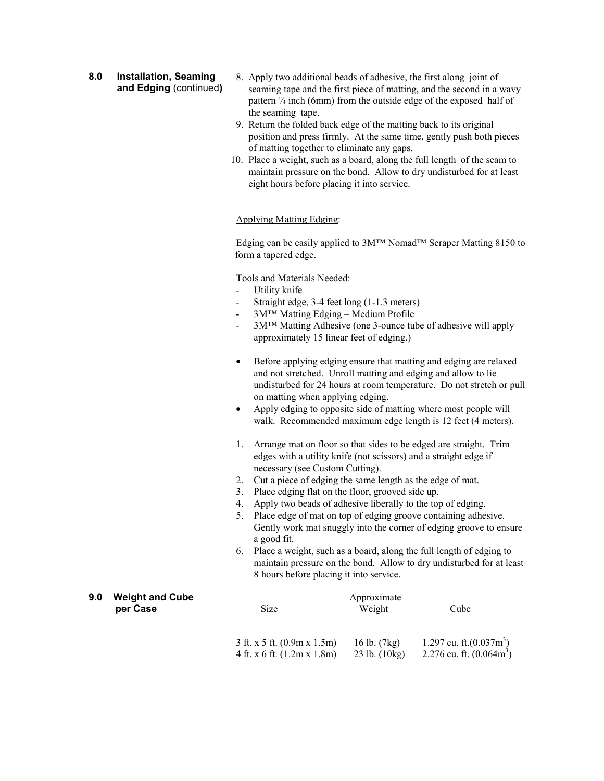**8.0 Installation, Seaming and Edging** (continued**)**

- 8. Apply two additional beads of adhesive, the first along joint of seaming tape and the first piece of matting, and the second in a wavy pattern  $\frac{1}{4}$  inch (6mm) from the outside edge of the exposed half of the seaming tape.
- 9. Return the folded back edge of the matting back to its original position and press firmly. At the same time, gently push both pieces of matting together to eliminate any gaps.
- 10. Place a weight, such as a board, along the full length of the seam to maintain pressure on the bond. Allow to dry undisturbed for at least eight hours before placing it into service.

#### Applying Matting Edging:

Edging can be easily applied to 3M™ Nomad™ Scraper Matting 8150 to form a tapered edge.

Tools and Materials Needed:

- Utility knife
- Straight edge, 3-4 feet long (1-1.3 meters)
- 3M™ Matting Edging Medium Profile
- 3M™ Matting Adhesive (one 3-ounce tube of adhesive will apply approximately 15 linear feet of edging.)
- $\bullet$  Before applying edging ensure that matting and edging are relaxed and not stretched. Unroll matting and edging and allow to lie undisturbed for 24 hours at room temperature. Do not stretch or pull on matting when applying edging.
- $\bullet$  Apply edging to opposite side of matting where most people will walk. Recommended maximum edge length is 12 feet (4 meters).
- 1. Arrange mat on floor so that sides to be edged are straight. Trim edges with a utility knife (not scissors) and a straight edge if necessary (see Custom Cutting).
- 2. Cut a piece of edging the same length as the edge of mat.
- 3. Place edging flat on the floor, grooved side up.
- 4. Apply two beads of adhesive liberally to the top of edging.
- 5. Place edge of mat on top of edging groove containing adhesive. Gently work mat snuggly into the corner of edging groove to ensure a good fit.
- 6. Place a weight, such as a board, along the full length of edging to maintain pressure on the bond. Allow to dry undisturbed for at least 8 hours before placing it into service.

| 9.0 | <b>Weight and Cube</b> | Approximate                   |                          |                            |
|-----|------------------------|-------------------------------|--------------------------|----------------------------|
|     | per Case               | Size                          | Weight                   | Cube                       |
|     |                        |                               |                          |                            |
|     |                        | $3$ ft. x 5 ft. (0.9m x 1.5m) | 16 lb. $(7kg)$           | 1.297 cu. ft. $(0.037m^3)$ |
|     |                        | 4 ft. x 6 ft. $(1.2m x 1.8m)$ | $23$ lb. $(10\text{kg})$ | 2.276 cu. ft. $(0.064m^3)$ |